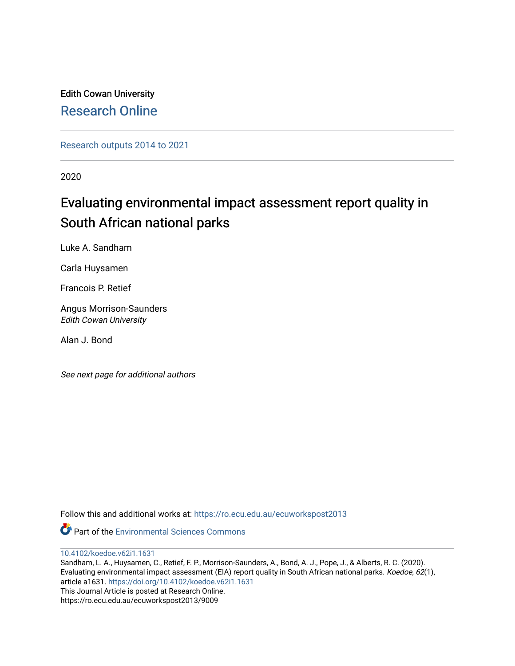Edith Cowan University [Research Online](https://ro.ecu.edu.au/) 

[Research outputs 2014 to 2021](https://ro.ecu.edu.au/ecuworkspost2013) 

2020

# Evaluating environmental impact assessment report quality in South African national parks

Luke A. Sandham

Carla Huysamen

Francois P. Retief

Angus Morrison-Saunders Edith Cowan University

Alan J. Bond

See next page for additional authors

Follow this and additional works at: [https://ro.ecu.edu.au/ecuworkspost2013](https://ro.ecu.edu.au/ecuworkspost2013?utm_source=ro.ecu.edu.au%2Fecuworkspost2013%2F9009&utm_medium=PDF&utm_campaign=PDFCoverPages) 

**Part of the [Environmental Sciences Commons](http://network.bepress.com/hgg/discipline/167?utm_source=ro.ecu.edu.au%2Fecuworkspost2013%2F9009&utm_medium=PDF&utm_campaign=PDFCoverPages)** 

[10.4102/koedoe.v62i1.1631](http://dx.doi.org/10.4102/koedoe.v62i1.1631)

Sandham, L. A., Huysamen, C., Retief, F. P., Morrison-Saunders, A., Bond, A. J., Pope, J., & Alberts, R. C. (2020). Evaluating environmental impact assessment (EIA) report quality in South African national parks. Koedoe, 62(1), article a1631. <https://doi.org/10.4102/koedoe.v62i1.1631> This Journal Article is posted at Research Online. https://ro.ecu.edu.au/ecuworkspost2013/9009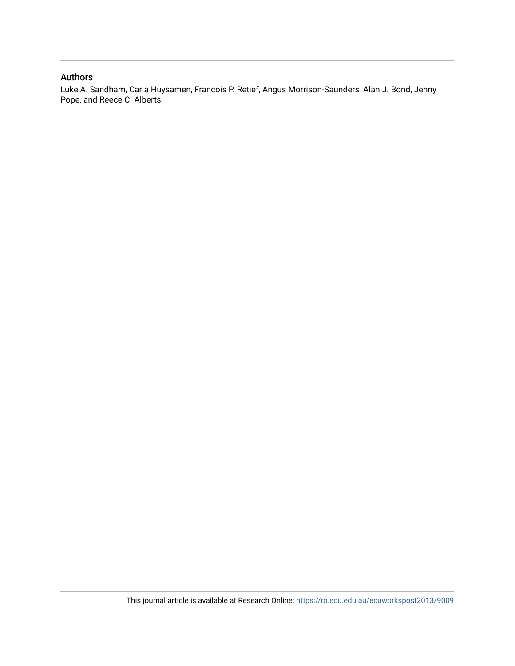# Authors

Luke A. Sandham, Carla Huysamen, Francois P. Retief, Angus Morrison-Saunders, Alan J. Bond, Jenny Pope, and Reece C. Alberts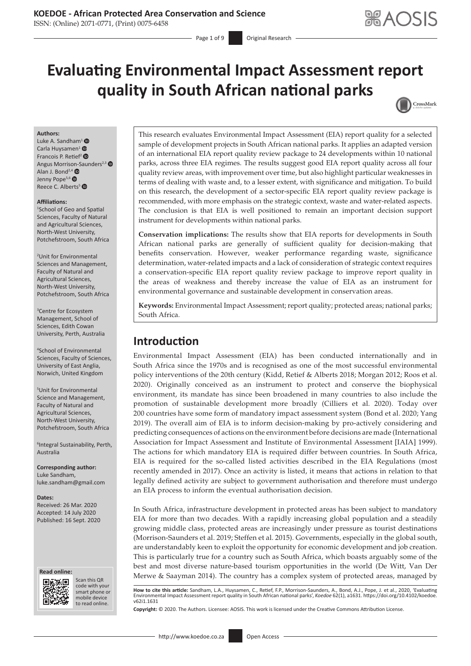ISSN: (Online) 2071-0771, (Print) 0075-6458

Page 1 of 9 **Original Research** 

# **Evaluating Environmental Impact Assessment report quality in South African national parks**



#### **Authors:**

Luke A. Sandha[m](https://orcid.org/0000-0002-9957-3188)<sup>1</sup> $\bullet$ Carla Huysamen<sup>1</sup> $\bullet$ Francois P. Retief<sup>[2](https://orcid.org/0000-0001-7164-9593)</sup> Angus Morrison-Saunders<sup>2,3</sup> Alan J. Bond<sup>2,[4](https://orcid.org/0000-0002-3809-5805)</sup>  $\bullet$ Jenny Pope<sup>5,[6](https://orcid.org/0000-0002-0099-854X)</sup> Reece C. Alberts<sup>5</sup>

#### **Affiliations:**

1 School of Geo and Spatial Sciences, Faculty of Natural and Agricultural Sciences, North-West University, Potchefstroom, South Africa

2 Unit for Environmental Sciences and Management, Faculty of Natural and Agricultural Sciences, North-West University, Potchefstroom, South Africa

3 Centre for Ecosystem Management, School of Sciences, Edith Cowan University, Perth, Australia

4 School of Environmental Sciences, Faculty of Sciences, University of East Anglia, Norwich, United Kingdom

5 Unit for Environmental Science and Management, Faculty of Natural and Agricultural Sciences, North-West University, Potchefstroom, South Africa

6 Integral Sustainability, Perth, Australia

**Corresponding author:** Luke Sandham, [luke.sandham@gmail.com](mailto:luke.sandham@gmail.com)

**Dates:** Received: 26 Mar. 2020 Accepted: 14 July 2020 Published: 16 Sept. 2020





Scan this QR code with your Scan this QR<br>code with your<br>smart phone or<br>mobile device mobile device to read online. to read online.

This research evaluates Environmental Impact Assessment (EIA) report quality for a selected sample of development projects in South African national parks. It applies an adapted version of an international EIA report quality review package to 24 developments within 10 national parks, across three EIA regimes. The results suggest good EIA report quality across all four quality review areas, with improvement over time, but also highlight particular weaknesses in terms of dealing with waste and, to a lesser extent, with significance and mitigation. To build on this research, the development of a sector-specific EIA report quality review package is recommended, with more emphasis on the strategic context, waste and water-related aspects. The conclusion is that EIA is well positioned to remain an important decision support instrument for developments within national parks.

**Conservation implications:** The results show that EIA reports for developments in South African national parks are generally of sufficient quality for decision-making that benefits conservation. However, weaker performance regarding waste, significance determination, water-related impacts and a lack of consideration of strategic context requires a conservation-specific EIA report quality review package to improve report quality in the areas of weakness and thereby increase the value of EIA as an instrument for environmental governance and sustainable development in conservation areas.

**Keywords:** Environmental Impact Assessment; report quality; protected areas; national parks; South Africa.

# **Introduction**

Environmental Impact Assessment (EIA) has been conducted internationally and in South Africa since the 1970s and is recognised as one of the most successful environmental policy interventions of the 20th century (Kidd, Retief & Alberts 2018; Morgan 2012; Roos et al. 2020). Originally conceived as an instrument to protect and conserve the biophysical environment, its mandate has since been broadened in many countries to also include the promotion of sustainable development more broadly (Cilliers et al. 2020). Today over 200 countries have some form of mandatory impact assessment system (Bond et al. 2020; Yang 2019). The overall aim of EIA is to inform decision-making by pro-actively considering and predicting consequences of actions on the environment before decisions are made (International Association for Impact Assessment and Institute of Environmental Assessment [IAIA] 1999). The actions for which mandatory EIA is required differ between countries. In South Africa, EIA is required for the so-called listed activities described in the EIA Regulations (most recently amended in 2017). Once an activity is listed, it means that actions in relation to that legally defined activity are subject to government authorisation and therefore must undergo an EIA process to inform the eventual authorisation decision.

In South Africa, infrastructure development in protected areas has been subject to mandatory EIA for more than two decades. With a rapidly increasing global population and a steadily growing middle class, protected areas are increasingly under pressure as tourist destinations (Morrison-Saunders et al. 2019; Steffen et al. 2015). Governments, especially in the global south, are understandably keen to exploit the opportunity for economic development and job creation. This is particularly true for a country such as South Africa, which boasts arguably some of the best and most diverse nature-based tourism opportunities in the world (De Witt, Van Der Merwe & Saayman 2014). The country has a complex system of protected areas, managed by

**How to cite this article:** Sandham, L.A., Huysamen, C., Retief, F.P., Morrison-Saunders, A., Bond, A.J., Pope, J. et al., 2020, 'Evaluating Environmental Impact Assessment report quality in South African national parks', *Koedoe* 62(1), a1631. [https://doi.org/10.4102/koedoe.](https://doi.org/10.4102/koedoe.v62i1.1631) [v62i1.1631](https://doi.org/10.4102/koedoe.v62i1.1631)

**Copyright:** © 2020. The Authors. Licensee: AOSIS. This work is licensed under the Creative Commons Attribution License.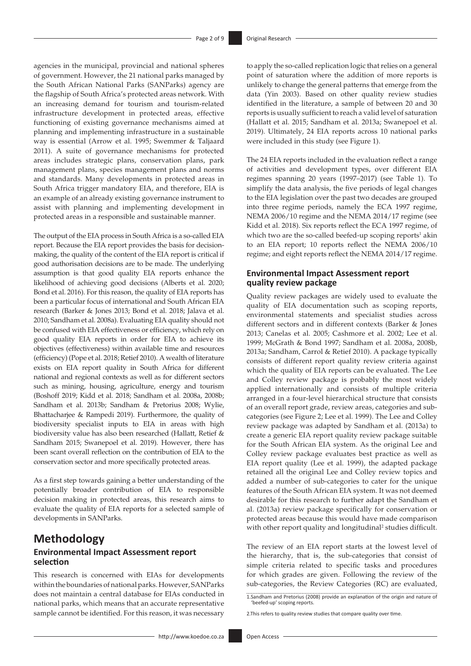agencies in the municipal, provincial and national spheres of government. However, the 21 national parks managed by the South African National Parks (SANParks) agency are the flagship of South Africa's protected areas network. With an increasing demand for tourism and tourism-related infrastructure development in protected areas, effective functioning of existing governance mechanisms aimed at planning and implementing infrastructure in a sustainable way is essential (Arrow et al. 1995; Swemmer & Taljaard 2011). A suite of governance mechanisms for protected areas includes strategic plans, conservation plans, park management plans, species management plans and norms and standards. Many developments in protected areas in South Africa trigger mandatory EIA, and therefore, EIA is an example of an already existing governance instrument to assist with planning and implementing development in protected areas in a responsible and sustainable manner.

The output of the EIA process in South Africa is a so-called EIA report. Because the EIA report provides the basis for decisionmaking, the quality of the content of the EIA report is critical if good authorisation decisions are to be made. The underlying assumption is that good quality EIA reports enhance the likelihood of achieving good decisions (Alberts et al. 2020; Bond et al. 2016). For this reason, the quality of EIA reports has been a particular focus of international and South African EIA research (Barker & Jones 2013; Bond et al. 2018; Jalava et al. 2010; Sandham et al. 2008a). Evaluating EIA quality should not be confused with EIA effectiveness or efficiency, which rely on good quality EIA reports in order for EIA to achieve its objectives (effectiveness) within available time and resources (efficiency) (Pope et al. 2018; Retief 2010). A wealth of literature exists on EIA report quality in South Africa for different national and regional contexts as well as for different sectors such as mining, housing, agriculture, energy and tourism (Boshoff 2019; Kidd et al. 2018; Sandham et al. 2008a, 2008b; Sandham et al. 2013b; Sandham & Pretorius 2008; Wylie, Bhattacharjee & Rampedi 2019). Furthermore, the quality of biodiversity specialist inputs to EIA in areas with high biodiversity value has also been researched (Hallatt, Retief & Sandham 2015; Swanepoel et al. 2019). However, there has been scant overall reflection on the contribution of EIA to the conservation sector and more specifically protected areas.

As a first step towards gaining a better understanding of the potentially broader contribution of EIA to responsible decision making in protected areas, this research aims to evaluate the quality of EIA reports for a selected sample of developments in SANParks.

# **Methodology Environmental Impact Assessment report selection**

This research is concerned with EIAs for developments within the boundaries of national parks. However, SANParks does not maintain a central database for EIAs conducted in national parks, which means that an accurate representative sample cannot be identified. For this reason, it was necessary

to apply the so-called replication logic that relies on a general point of saturation where the addition of more reports is unlikely to change the general patterns that emerge from the data (Yin 2003). Based on other quality review studies identified in the literature, a sample of between 20 and 30 reports is usually sufficient to reach a valid level of saturation (Hallatt et al. 2015; Sandham et al. 2013a; Swanepoel et al. 2019). Ultimately, 24 EIA reports across 10 national parks were included in this study (see Figure 1).

The 24 EIA reports included in the evaluation reflect a range of activities and development types, over different EIA regimes spanning 20 years (1997–2017) (see Table 1). To simplify the data analysis, the five periods of legal changes to the EIA legislation over the past two decades are grouped into three regime periods, namely the ECA 1997 regime, NEMA 2006/10 regime and the NEMA 2014/17 regime (see Kidd et al. 2018). Six reports reflect the ECA 1997 regime, of which two are the so-called beefed-up scoping reports<sup>1</sup> akin to an EIA report; 10 reports reflect the NEMA 2006/10 regime; and eight reports reflect the NEMA 2014/17 regime.

# **Environmental Impact Assessment report quality review package**

Quality review packages are widely used to evaluate the quality of EIA documentation such as scoping reports, environmental statements and specialist studies across different sectors and in different contexts (Barker & Jones 2013; Canelas et al. 2005; Cashmore et al. 2002; Lee et al. 1999; McGrath & Bond 1997; Sandham et al. 2008a, 2008b, 2013a; Sandham, Carrol & Retief 2010). A package typically consists of different report quality review criteria against which the quality of EIA reports can be evaluated. The Lee and Colley review package is probably the most widely applied internationally and consists of multiple criteria arranged in a four-level hierarchical structure that consists of an overall report grade, review areas, categories and subcategories (see Figure 2; Lee et al. 1999). The Lee and Colley review package was adapted by Sandham et al. (2013a) to create a generic EIA report quality review package suitable for the South African EIA system. As the original Lee and Colley review package evaluates best practice as well as EIA report quality (Lee et al. 1999), the adapted package retained all the original Lee and Colley review topics and added a number of sub-categories to cater for the unique features of the South African EIA system. It was not deemed desirable for this research to further adapt the Sandham et al. (2013a) review package specifically for conservation or protected areas because this would have made comparison with other report quality and longitudinal<sup>2</sup> studies difficult.

The review of an EIA report starts at the lowest level of the hierarchy, that is, the sub-categories that consist of simple criteria related to specific tasks and procedures for which grades are given. Following the review of the sub-categories, the Review Categories (RC) are evaluated,

<sup>1.</sup>Sandham and Pretorius (2008) provide an explanation of the origin and nature of 'beefed-up' scoping reports.

<sup>2.</sup>This refers to quality review studies that compare quality over time.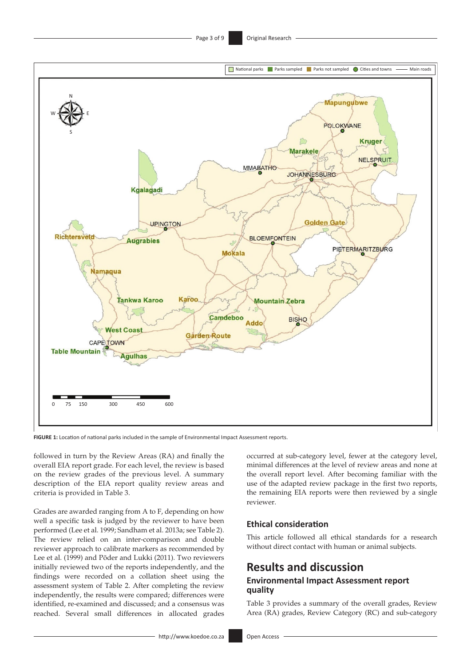

**FIGURE 1:** Location of national parks included in the sample of Environmental Impact Assessment reports.

followed in turn by the Review Areas (RA) and finally the overall EIA report grade. For each level, the review is based on the review grades of the previous level. A summary description of the EIA report quality review areas and criteria is provided in Table 3.

Grades are awarded ranging from A to F, depending on how well a specific task is judged by the reviewer to have been performed (Lee et al. 1999; Sandham et al. 2013a; see Table 2). The review relied on an inter-comparison and double reviewer approach to calibrate markers as recommended by Lee et al. (1999) and Põder and Lukki (2011). Two reviewers initially reviewed two of the reports independently, and the findings were recorded on a collation sheet using the assessment system of Table 2. After completing the review independently, the results were compared; differences were identified, re-examined and discussed; and a consensus was reached. Several small differences in allocated grades occurred at sub-category level, fewer at the category level, minimal differences at the level of review areas and none at the overall report level. After becoming familiar with the use of the adapted review package in the first two reports, the remaining EIA reports were then reviewed by a single reviewer.

# **Ethical consideration**

This article followed all ethical standards for a research without direct contact with human or animal subjects.

# **Results and discussion**

# **Environmental Impact Assessment report quality**

Table 3 provides a summary of the overall grades, Review Area (RA) grades, Review Category (RC) and sub-category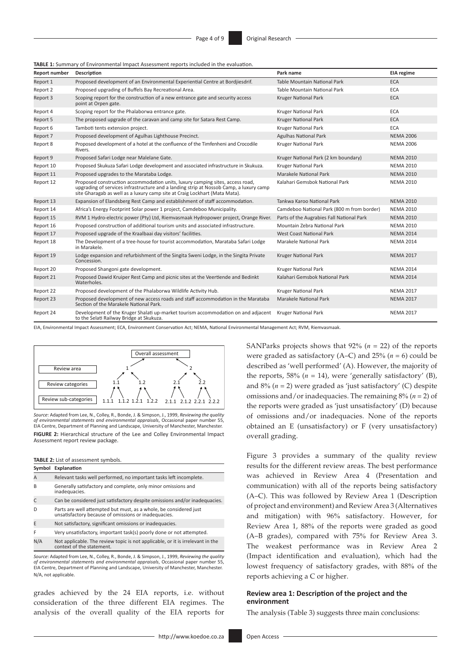#### **TABLE 1:** Summary of Environmental Impact Assessment reports included in the evaluation.

| Report number | Description                                                                                                                                                                                                                                           | Park name                                  | <b>EIA</b> regime |
|---------------|-------------------------------------------------------------------------------------------------------------------------------------------------------------------------------------------------------------------------------------------------------|--------------------------------------------|-------------------|
| Report 1      | Proposed development of an Environmental Experiential Centre at Bordjiesdrif.                                                                                                                                                                         | <b>Table Mountain National Park</b>        | <b>ECA</b>        |
| Report 2      | Proposed upgrading of Buffels Bay Recreational Area.                                                                                                                                                                                                  | Table Mountain National Park               | <b>ECA</b>        |
| Report 3      | Scoping report for the construction of a new entrance gate and security access<br>point at Orpen gate.                                                                                                                                                | <b>Kruger National Park</b>                | <b>ECA</b>        |
| Report 4      | Scoping report for the Phalaborwa entrance gate.                                                                                                                                                                                                      | Kruger National Park                       | <b>ECA</b>        |
| Report 5      | The proposed upgrade of the caravan and camp site for Satara Rest Camp.                                                                                                                                                                               | <b>Kruger National Park</b>                | <b>ECA</b>        |
| Report 6      | Tamboti tents extension project.                                                                                                                                                                                                                      | <b>Kruger National Park</b>                | <b>ECA</b>        |
| Report 7      | Proposed development of Agulhas Lighthouse Precinct.                                                                                                                                                                                                  | <b>Agulhas National Park</b>               | <b>NEMA 2006</b>  |
| Report 8      | Proposed development of a hotel at the confluence of the Timfenheni and Crocodile<br>Rivers.                                                                                                                                                          | Kruger National Park                       | <b>NEMA 2006</b>  |
| Report 9      | Proposed Safari Lodge near Malelane Gate.                                                                                                                                                                                                             | Kruger National Park (2 km boundary)       | <b>NEMA 2010</b>  |
| Report 10     | Proposed Skukuza Safari Lodge development and associated infrastructure in Skukuza.                                                                                                                                                                   | Kruger National Park                       | <b>NEMA 2010</b>  |
| Report 11     | Proposed upgrades to the Marataba Lodge.                                                                                                                                                                                                              | Marakele National Park                     | <b>NEMA 2010</b>  |
| Report 12     | Proposed construction accommodation units, luxury camping sites, access road,<br>upgrading of services infrastructure and a landing strip at Nossob Camp, a luxury camp<br>site Gharagab as well as a luxury camp site at Craig Lockhart (Mata Mata). | Kalahari Gemsbok National Park             | <b>NEMA 2010</b>  |
| Report 13     | Expansion of Elandsberg Rest Camp and establishment of staff accommodation.                                                                                                                                                                           | Tankwa Karoo National Park                 | <b>NEMA 2010</b>  |
| Report 14     | Africa's Energy Footprint Solar power 1 project, Camdeboo Municipality.                                                                                                                                                                               | Camdeboo National Park (800 m from border) | <b>NEMA 2010</b>  |
| Report 15     | RVM 1 Hydro-electric power (Pty) Ltd, Riemvasmaak Hydropower project, Orange River.                                                                                                                                                                   | Parts of the Augrabies Fall National Park  | <b>NEMA 2010</b>  |
| Report 16     | Proposed construction of additional tourism units and associated infrastructure.                                                                                                                                                                      | Mountain Zebra National Park               | <b>NEMA 2010</b>  |
| Report 17     | Proposed upgrade of the Kraalbaai day visitors' facilities.                                                                                                                                                                                           | <b>West Coast National Park</b>            | <b>NEMA 2014</b>  |
| Report 18     | The Development of a tree-house for tourist accommodation, Marataba Safari Lodge<br>in Marakele.                                                                                                                                                      | Marakele National Park                     | <b>NEMA 2014</b>  |
| Report 19     | Lodge expansion and refurbishment of the Singita Sweni Lodge, in the Singita Private<br>Concession.                                                                                                                                                   | <b>Kruger National Park</b>                | <b>NEMA 2017</b>  |
| Report 20     | Proposed Shangoni gate development.                                                                                                                                                                                                                   | Kruger National Park                       | <b>NEMA 2014</b>  |
| Report 21     | Proposed Dawid Kruiper Rest Camp and picnic sites at the Veertiende and Bedinkt<br>Waterholes.                                                                                                                                                        | Kalahari Gemsbok National Park             | <b>NEMA 2014</b>  |
| Report 22     | Proposed development of the Phalaborwa Wildlife Activity Hub.                                                                                                                                                                                         | <b>Kruger National Park</b>                | <b>NEMA 2017</b>  |
| Report 23     | Proposed development of new access roads and staff accommodation in the Marataba<br>Section of the Marakele National Park.                                                                                                                            | Marakele National Park                     | <b>NEMA 2017</b>  |
| Report 24     | Development of the Kruger Shalati up-market tourism accommodation on and adjacent<br>to the Selati Railway Bridge at Skukuza.                                                                                                                         | Kruger National Park                       | <b>NEMA 2017</b>  |

EIA, Environmental Impact Assessment; ECA, Environment Conservation Act; NEMA, National Environmental Management Act; RVM, Riemvasmaak.



*of environmental statements and environmental appraisals*, Occasional paper number 55, EIA Centre, Department of Planning and Landscape, University of Manchester, Manchester. **FIGURE 2:** Hierarchical structure of the Lee and Colley Environmental Impact Assessment report review package.

#### **TABLE 2:** List of assessment symbols.

|                | Symbol Explanation                                                                                                        |
|----------------|---------------------------------------------------------------------------------------------------------------------------|
| $\overline{A}$ | Relevant tasks well performed, no important tasks left incomplete.                                                        |
| B              | Generally satisfactory and complete, only minor omissions and<br>inadequacies.                                            |
| C              | Can be considered just satisfactory despite omissions and/or inadequacies.                                                |
| D              | Parts are well attempted but must, as a whole, be considered just<br>unsatisfactory because of omissions or inadequacies. |
| E              | Not satisfactory, significant omissions or inadequacies.                                                                  |
| F              | Very unsatisfactory, important task(s) poorly done or not attempted.                                                      |
| N/A            | Not applicable. The review topic is not applicable, or it is irrelevant in the<br>context of the statement.               |

*Source*: Adapted from Lee, N., Colley, R., Bonde, J. & Simpson, J., 1999, *Reviewing the quality of environmental statements and environmental appraisals*, Occasional paper number 55, EIA Centre, Department of Planning and Landscape, University of Manchester, Manchester. N/A, not applicable.

grades achieved by the 24 EIA reports, i.e. without consideration of the three different EIA regimes. The analysis of the overall quality of the EIA reports for

SANParks projects shows that 92% (*n* = 22) of the reports were graded as satisfactory (A–C) and 25% (*n* = 6) could be described as 'well performed' (A). However, the majority of the reports, 58% ( $n = 14$ ), were 'generally satisfactory' (B), and  $8\%$  ( $n = 2$ ) were graded as 'just satisfactory' (C) despite omissions and/or inadequacies. The remaining 8% (*n* = 2) of the reports were graded as 'just unsatisfactory' (D) because of omissions and/or inadequacies. None of the reports obtained an E (unsatisfactory) or F (very unsatisfactory) overall grading.

Figure 3 provides a summary of the quality review results for the different review areas. The best performance was achieved in Review Area 4 (Presentation and communication) with all of the reports being satisfactory (A–C). This was followed by Review Area 1 (Description of project and environment) and Review Area 3 (Alternatives and mitigation) with 96% satisfactory. However, for Review Area 1, 88% of the reports were graded as good (A–B grades), compared with 75% for Review Area 3. The weakest performance was in Review Area 2 (Impact identification and evaluation), which had the lowest frequency of satisfactory grades, with 88% of the reports achieving a C or higher.

#### **Review area 1: Description of the project and the environment**

The analysis (Table 3) suggests three main conclusions: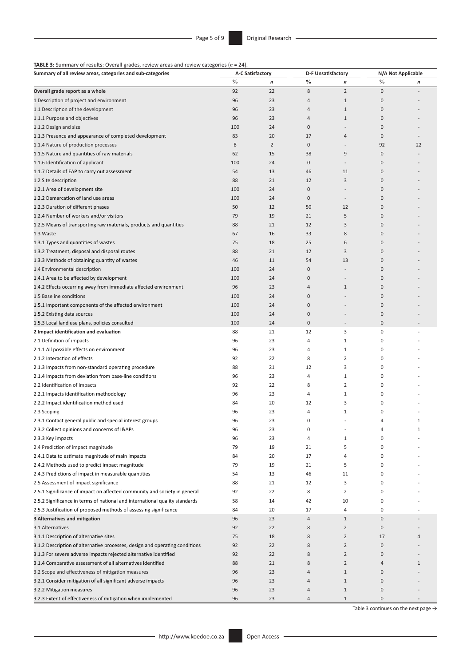**TABLE 3:** Summary of results: Overall grades, review areas and review categories (*n* = 24).

| Summary of all review areas, categories and sub-categories                  |               | A-C Satisfactory | <b>D-F Unsatisfactory</b> |                  | N/A Not Applicable |                  |
|-----------------------------------------------------------------------------|---------------|------------------|---------------------------|------------------|--------------------|------------------|
|                                                                             | $\frac{0}{0}$ | $\boldsymbol{n}$ | $\frac{0}{0}$             | $\boldsymbol{n}$ | $\frac{0}{0}$      | $\boldsymbol{n}$ |
| Overall grade report as a whole                                             | 92            | 22               | 8                         | $\overline{2}$   | $\mathbf 0$        |                  |
| 1 Description of project and environment                                    | 96            | 23               | 4                         | $\mathbf{1}$     | 0                  |                  |
| 1.1 Description of the development                                          | 96            | 23               | 4                         | $\mathbf{1}$     | $\boldsymbol{0}$   |                  |
| 1.1.1 Purpose and objectives                                                | 96            | 23               | 4                         | $\mathbf{1}$     | 0                  |                  |
| 1.1.2 Design and size                                                       | 100           | 24               | $\mathbf{0}$              | ÷,               | 0                  |                  |
| 1.1.3 Presence and appearance of completed development                      | 83            | 20               | 17                        | 4                | 0                  |                  |
| 1.1.4 Nature of production processes                                        | 8             | $\overline{2}$   | $\mathbf{0}$              | ÷,               | 92                 | 22               |
| 1.1.5 Nature and quantities of raw materials                                | 62            | 15               | 38                        | 9                | 0                  |                  |
| 1.1.6 Identification of applicant                                           | 100           | 24               | 0                         | ÷                | 0                  |                  |
| 1.1.7 Details of EAP to carry out assessment                                | 54            | 13               | 46                        | 11               | 0                  |                  |
| 1.2 Site description                                                        | 88            | 21               | 12                        | 3                | $\boldsymbol{0}$   |                  |
| 1.2.1 Area of development site                                              | 100           | 24               | 0                         |                  | 0                  |                  |
| 1.2.2 Demarcation of land use areas                                         | 100           | 24               | 0                         | $\overline{a}$   | 0                  |                  |
| 1.2.3 Duration of different phases                                          | 50            | 12               | 50                        | 12               | $\mathbf{0}$       |                  |
| 1.2.4 Number of workers and/or visitors                                     | 79            | 19               | 21                        | 5                | $\mathbf{0}$       |                  |
| 1.2.5 Means of transporting raw materials, products and quantities          | 88            | 21               | 12                        | 3                | 0                  |                  |
| 1.3 Waste                                                                   | 67            | 16               | 33                        | 8                | 0                  |                  |
| 1.3.1 Types and quantities of wastes                                        | 75            | 18               | 25                        | 6                | 0                  |                  |
| 1.3.2 Treatment, disposal and disposal routes                               | 88            | 21               | 12                        | 3                | $\mathbf 0$        |                  |
| 1.3.3 Methods of obtaining quantity of wastes                               | 46            | 11               | 54                        | 13               | 0                  |                  |
| 1.4 Environmental description                                               | 100           | 24               | $\mathbf{0}$              | ÷,               | 0                  |                  |
| 1.4.1 Area to be affected by development                                    | 100           | 24               | 0                         | ٠                | 0                  |                  |
| 1.4.2 Effects occurring away from immediate affected environment            | 96            | 23               | 4                         | $1\,$            | $\mathbf 0$        |                  |
| 1.5 Baseline conditions                                                     | 100           | 24               | 0                         |                  | 0                  |                  |
| 1.5.1 Important components of the affected environment                      | 100           | 24               | 0                         |                  | 0                  |                  |
| 1.5.2 Existing data sources                                                 | 100           | 24               | 0                         |                  | $\mathbf 0$        |                  |
| 1.5.3 Local land use plans, policies consulted                              | 100           | 24               | 0                         |                  | 0                  |                  |
| 2 Impact identification and evaluation                                      | 88            | 21               | 12                        | 3                | 0                  |                  |
| 2.1 Definition of impacts                                                   | 96            | 23               | 4                         | 1                | 0                  |                  |
| 2.1.1 All possible effects on environment                                   | 96            | 23               | 4                         | 1                | 0                  |                  |
| 2.1.2 Interaction of effects                                                | 92            | 22               | 8                         | $\overline{2}$   | 0                  |                  |
| 2.1.3 Impacts from non-standard operating procedure                         | 88            | 21               | 12                        | 3                | 0                  |                  |
| 2.1.4 Impacts from deviation from base-line conditions                      | 96            | 23               | 4                         | $\mathbf{1}$     | 0                  |                  |
| 2.2 Identification of impacts                                               | 92            | 22               | 8                         | 2                | 0                  |                  |
| 2.2.1 Impacts identification methodology                                    | 96            | 23               | 4                         | $\mathbf{1}$     | 0                  |                  |
| 2.2.2 Impact identification method used                                     | 84            | 20               | 12                        | 3                | 0                  |                  |
| 2.3 Scoping                                                                 | 96            | 23               | 4                         | 1                | 0                  |                  |
| 2.3.1 Contact general public and special interest groups                    | 96            | 23               | $\Omega$                  |                  | 4                  | 1                |
| 2.3.2 Collect opinions and concerns of I&APs                                | 96            | 23               | 0                         |                  | 4                  | 1                |
| 2.3.3 Key impacts                                                           | 96            | 23               | 4                         | $\mathbf{1}$     | 0                  |                  |
| 2.4 Prediction of impact magnitude                                          | 79            | 19               | 21                        | 5                | 0                  |                  |
| 2.4.1 Data to estimate magnitude of main impacts                            | 84            | 20               | 17                        | $\sqrt{4}$       | 0                  |                  |
| 2.4.2 Methods used to predict impact magnitude                              | 79            | 19               | 21                        | 5                | 0                  |                  |
| 2.4.3 Predictions of impact in measurable quantities                        | 54            | 13               | 46                        | 11               | 0                  |                  |
| 2.5 Assessment of impact significance                                       | 88            | 21               | 12                        | 3                | 0                  |                  |
| 2.5.1 Significance of impact on affected community and society in general   | 92            | 22               | 8                         | $\overline{2}$   | 0                  |                  |
| 2.5.2 Significance in terms of national and international quality standards | 58            | 14               | 42                        | 10               | 0                  |                  |
| 2.5.3 Justification of proposed methods of assessing significance           | 84            | 20               | 17                        | 4                | 0                  |                  |
| 3 Alternatives and mitigation                                               | 96            | 23               | 4                         | $\mathbf{1}$     | 0                  |                  |
| 3.1 Alternatives                                                            | 92            | 22               | 8                         | $\overline{2}$   | 0                  |                  |
| 3.1.1 Description of alternative sites                                      | 75            | 18               | 8                         | $\overline{2}$   | 17                 | $\overline{4}$   |
| 3.1.2 Description of alternative processes, design and operating conditions | 92            | 22               | 8                         | $\overline{2}$   | 0                  |                  |
| 3.1.3 For severe adverse impacts rejected alternative identified            | 92            | 22               | 8                         | $\overline{2}$   | 0                  |                  |
| 3.1.4 Comparative assessment of all alternatives identified                 | 88            | 21               | 8                         | $\overline{2}$   | 4                  | $\mathbf{1}$     |
| 3.2 Scope and effectiveness of mitigation measures                          | 96            | 23               | 4                         | $\mathbf{1}$     | 0                  |                  |
| 3.2.1 Consider mitigation of all significant adverse impacts                | 96            | 23               | 4                         | $\mathbf{1}$     | 0                  |                  |
| 3.2.2 Mitigation measures                                                   | 96            | 23               | 4                         | $\mathbf{1}$     | 0                  |                  |
| 3.2.3 Extent of effectiveness of mitigation when implemented                | 96            | 23               | 4                         | $\mathbf{1}$     | 0                  |                  |
|                                                                             |               |                  |                           |                  |                    |                  |

Table 3 continues on the next page  $\rightarrow$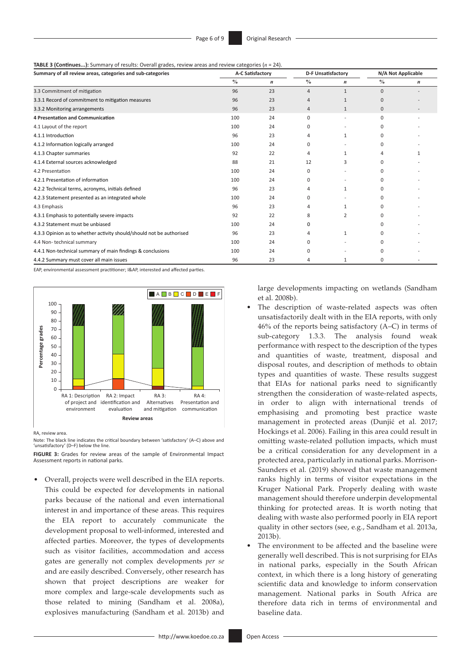**TABLE 3 (Continues...):** Summary of results: Overall grades, review areas and review categories (*n* = 24).

| Summary of all review areas, categories and sub-categories           | A-C Satisfactory |                  | <b>D-F Unsatisfactory</b> |                  | N/A Not Applicable |                  |
|----------------------------------------------------------------------|------------------|------------------|---------------------------|------------------|--------------------|------------------|
|                                                                      | $\frac{0}{0}$    | $\boldsymbol{n}$ | $\frac{0}{0}$             | $\boldsymbol{n}$ | $\frac{0}{0}$      | $\boldsymbol{n}$ |
| 3.3 Commitment of mitigation                                         | 96               | 23               | $\overline{4}$            | $\mathbf{1}$     | $\mathbf{0}$       |                  |
| 3.3.1 Record of commitment to mitigation measures                    | 96               | 23               | 4                         | $\mathbf{1}$     | $\mathbf{0}$       |                  |
| 3.3.2 Monitoring arrangements                                        | 96               | 23               | 4                         | $\mathbf{1}$     | $\mathbf 0$        |                  |
| 4 Presentation and Communication                                     | 100              | 24               | 0                         |                  | 0                  |                  |
| 4.1 Layout of the report                                             | 100              | 24               | 0                         |                  | $\Omega$           |                  |
| 4.1.1 Introduction                                                   | 96               | 23               | Δ                         | 1                | $\Omega$           |                  |
| 4.1.2 Information logically arranged                                 | 100              | 24               | $\Omega$                  |                  | $\Omega$           |                  |
| 4.1.3 Chapter summaries                                              | 92               | 22               |                           |                  |                    |                  |
| 4.1.4 External sources acknowledged                                  | 88               | 21               | 12                        | 3                | 0                  |                  |
| 4.2 Presentation                                                     | 100              | 24               | $\Omega$                  |                  | $\Omega$           |                  |
| 4.2.1 Presentation of information                                    | 100              | 24               | $\Omega$                  |                  | $\Omega$           |                  |
| 4.2.2 Technical terms, acronyms, initials defined                    | 96               | 23               |                           | 1                | $\Omega$           |                  |
| 4.2.3 Statement presented as an integrated whole                     | 100              | 24               | U                         |                  | $\Omega$           |                  |
| 4.3 Emphasis                                                         | 96               | 23               |                           | 1                | 0                  |                  |
| 4.3.1 Emphasis to potentially severe impacts                         | 92               | 22               | 8                         | 2                | $\Omega$           |                  |
| 4.3.2 Statement must be unbiased                                     | 100              | 24               | 0                         |                  | $\Omega$           |                  |
| 4.3.3 Opinion as to whether activity should/should not be authorised | 96               | 23               |                           | $\mathbf{1}$     | 0                  |                  |
| 4.4 Non-technical summary                                            | 100              | 24               |                           |                  | 0                  |                  |
| 4.4.1 Non-technical summary of main findings & conclusions           | 100              | 24               | U                         |                  | $\Omega$           |                  |
| 4.4.2 Summary must cover all main issues                             | 96               | 23               |                           | $\mathbf{1}$     | 0                  |                  |

EAP, environmental assessment practitioner; I&AP, interested and affected parties.



RA, review area.

**FIGURE 3:** Grades for review areas of the sample of Environmental Impact Assessment reports in national parks.

• Overall, projects were well described in the EIA reports. This could be expected for developments in national parks because of the national and even international interest in and importance of these areas. This requires the EIA report to accurately communicate the development proposal to well-informed, interested and affected parties. Moreover, the types of developments such as visitor facilities, accommodation and access gates are generally not complex developments *per se*  and are easily described. Conversely, other research has shown that project descriptions are weaker for more complex and large-scale developments such as those related to mining (Sandham et al. 2008a), explosives manufacturing (Sandham et al. 2013b) and

large developments impacting on wetlands (Sandham et al. 2008b).

- The description of waste-related aspects was often unsatisfactorily dealt with in the EIA reports, with only 46% of the reports being satisfactory (A–C) in terms of sub-category 1.3.3. The analysis found weak performance with respect to the description of the types and quantities of waste, treatment, disposal and disposal routes, and description of methods to obtain types and quantities of waste. These results suggest that EIAs for national parks need to significantly strengthen the consideration of waste-related aspects, in order to align with international trends of emphasising and promoting best practice waste management in protected areas (Dunjić et al. 2017; Hockings et al. 2006). Failing in this area could result in omitting waste-related pollution impacts, which must be a critical consideration for any development in a protected area, particularly in national parks. Morrison-Saunders et al. (2019) showed that waste management ranks highly in terms of visitor expectations in the Kruger National Park. Properly dealing with waste management should therefore underpin developmental thinking for protected areas. It is worth noting that dealing with waste also performed poorly in EIA report quality in other sectors (see, e.g., Sandham et al. 2013a, 2013b).
- The environment to be affected and the baseline were generally well described. This is not surprising for EIAs in national parks, especially in the South African context, in which there is a long history of generating scientific data and knowledge to inform conservation management. National parks in South Africa are therefore data rich in terms of environmental and baseline data.

Note: The black line indicates the critical boundary between 'satisfactory' (A–C) above and 'unsatisfactory' (D–F) below the line.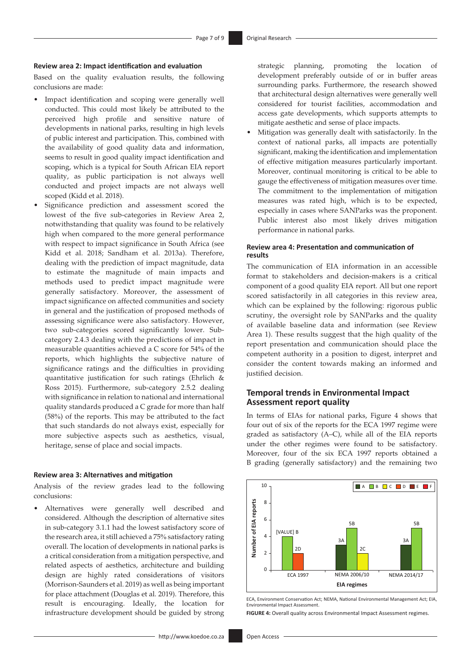#### **Review area 2: Impact identification and evaluation**

Based on the quality evaluation results, the following conclusions are made:

- Impact identification and scoping were generally well conducted. This could most likely be attributed to the perceived high profile and sensitive nature of developments in national parks, resulting in high levels of public interest and participation. This, combined with the availability of good quality data and information, seems to result in good quality impact identification and scoping, which is a typical for South African EIA report quality, as public participation is not always well conducted and project impacts are not always well scoped (Kidd et al. 2018).
- Significance prediction and assessment scored the lowest of the five sub-categories in Review Area 2, notwithstanding that quality was found to be relatively high when compared to the more general performance with respect to impact significance in South Africa (see Kidd et al. 2018; Sandham et al. 2013a). Therefore, dealing with the prediction of impact magnitude, data to estimate the magnitude of main impacts and methods used to predict impact magnitude were generally satisfactory. Moreover, the assessment of impact significance on affected communities and society in general and the justification of proposed methods of assessing significance were also satisfactory. However, two sub-categories scored significantly lower. Subcategory 2.4.3 dealing with the predictions of impact in measurable quantities achieved a C score for 54% of the reports, which highlights the subjective nature of significance ratings and the difficulties in providing quantitative justification for such ratings (Ehrlich & Ross 2015). Furthermore, sub-category 2.5.2 dealing with significance in relation to national and international quality standards produced a C grade for more than half (58%) of the reports. This may be attributed to the fact that such standards do not always exist, especially for more subjective aspects such as aesthetics, visual, heritage, sense of place and social impacts.

#### **Review area 3: Alternatives and mitigation**

Analysis of the review grades lead to the following conclusions:

• Alternatives were generally well described and considered. Although the description of alternative sites in sub-category 3.1.1 had the lowest satisfactory score of the research area, it still achieved a 75% satisfactory rating overall. The location of developments in national parks is a critical consideration from a mitigation perspective, and related aspects of aesthetics, architecture and building design are highly rated considerations of visitors (Morrison-Saunders et al. 2019) as well as being important for place attachment (Douglas et al. 2019). Therefore, this result is encouraging. Ideally, the location for infrastructure development should be guided by strong strategic planning, promoting the location of development preferably outside of or in buffer areas surrounding parks. Furthermore, the research showed that architectural design alternatives were generally well considered for tourist facilities, accommodation and access gate developments, which supports attempts to mitigate aesthetic and sense of place impacts.

• Mitigation was generally dealt with satisfactorily. In the context of national parks, all impacts are potentially significant, making the identification and implementation of effective mitigation measures particularly important. Moreover, continual monitoring is critical to be able to gauge the effectiveness of mitigation measures over time. The commitment to the implementation of mitigation measures was rated high, which is to be expected, especially in cases where SANParks was the proponent. Public interest also most likely drives mitigation performance in national parks.

### **Review area 4: Presentation and communication of results**

The communication of EIA information in an accessible format to stakeholders and decision-makers is a critical component of a good quality EIA report. All but one report scored satisfactorily in all categories in this review area, which can be explained by the following: rigorous public scrutiny, the oversight role by SANParks and the quality of available baseline data and information (see Review Area 1). These results suggest that the high quality of the report presentation and communication should place the competent authority in a position to digest, interpret and consider the content towards making an informed and justified decision.

## **Temporal trends in Environmental Impact Assessment report quality**

In terms of EIAs for national parks, Figure 4 shows that four out of six of the reports for the ECA 1997 regime were graded as satisfactory (A–C), while all of the EIA reports under the other regimes were found to be satisfactory. Moreover, four of the six ECA 1997 reports obtained a B grading (generally satisfactory) and the remaining two



ECA, Environment Conservation Act; NEMA, National Environmental Management Act; EIA, Environmental Impact Assessment.

**FIGURE 4:** Overall quality across Environmental Impact Assessment regimes.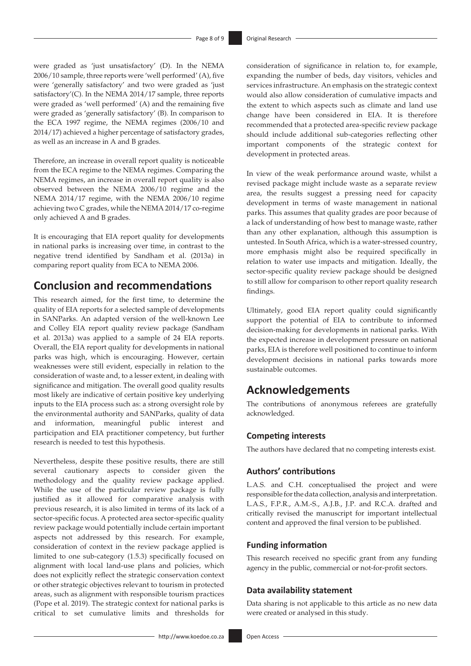were graded as 'just unsatisfactory' (D). In the NEMA 2006/10 sample, three reports were 'well performed' (A), five were 'generally satisfactory' and two were graded as 'just satisfactory'(C). In the NEMA 2014/17 sample, three reports were graded as 'well performed' (A) and the remaining five were graded as 'generally satisfactory' (B). In comparison to the ECA 1997 regime, the NEMA regimes (2006/10 and 2014/17) achieved a higher percentage of satisfactory grades, as well as an increase in A and B grades.

Therefore, an increase in overall report quality is noticeable from the ECA regime to the NEMA regimes. Comparing the NEMA regimes, an increase in overall report quality is also observed between the NEMA 2006/10 regime and the NEMA 2014/17 regime, with the NEMA 2006/10 regime achieving two C grades, while the NEMA 2014/17 co-regime only achieved A and B grades.

It is encouraging that EIA report quality for developments in national parks is increasing over time, in contrast to the negative trend identified by Sandham et al. (2013a) in comparing report quality from ECA to NEMA 2006.

# **Conclusion and recommendations**

This research aimed, for the first time, to determine the quality of EIA reports for a selected sample of developments in SANParks. An adapted version of the well-known Lee and Colley EIA report quality review package (Sandham et al. 2013a) was applied to a sample of 24 EIA reports. Overall, the EIA report quality for developments in national parks was high, which is encouraging. However, certain weaknesses were still evident, especially in relation to the consideration of waste and, to a lesser extent, in dealing with significance and mitigation. The overall good quality results most likely are indicative of certain positive key underlying inputs to the EIA process such as: a strong oversight role by the environmental authority and SANParks, quality of data and information, meaningful public interest and participation and EIA practitioner competency, but further research is needed to test this hypothesis.

Nevertheless, despite these positive results, there are still several cautionary aspects to consider given the methodology and the quality review package applied. While the use of the particular review package is fully justified as it allowed for comparative analysis with previous research, it is also limited in terms of its lack of a sector-specific focus. A protected area sector-specific quality review package would potentially include certain important aspects not addressed by this research. For example, consideration of context in the review package applied is limited to one sub-category (1.5.3) specifically focused on alignment with local land-use plans and policies, which does not explicitly reflect the strategic conservation context or other strategic objectives relevant to tourism in protected areas, such as alignment with responsible tourism practices (Pope et al. 2019). The strategic context for national parks is critical to set cumulative limits and thresholds for

consideration of significance in relation to, for example, expanding the number of beds, day visitors, vehicles and services infrastructure. An emphasis on the strategic context would also allow consideration of cumulative impacts and the extent to which aspects such as climate and land use change have been considered in EIA. It is therefore recommended that a protected area-specific review package should include additional sub-categories reflecting other important components of the strategic context for development in protected areas.

In view of the weak performance around waste, whilst a revised package might include waste as a separate review area, the results suggest a pressing need for capacity development in terms of waste management in national parks. This assumes that quality grades are poor because of a lack of understanding of how best to manage waste, rather than any other explanation, although this assumption is untested. In South Africa, which is a water-stressed country, more emphasis might also be required specifically in relation to water use impacts and mitigation. Ideally, the sector-specific quality review package should be designed to still allow for comparison to other report quality research findings.

Ultimately, good EIA report quality could significantly support the potential of EIA to contribute to informed decision-making for developments in national parks. With the expected increase in development pressure on national parks, EIA is therefore well positioned to continue to inform development decisions in national parks towards more sustainable outcomes.

# **Acknowledgements**

The contributions of anonymous referees are gratefully acknowledged.

### **Competing interests**

The authors have declared that no competing interests exist.

## **Authors' contributions**

L.A.S. and C.H. conceptualised the project and were responsible for the data collection, analysis and interpretation. L.A.S., F.P.R., A.M.-S., A.J.B., J.P. and R.C.A. drafted and critically revised the manuscript for important intellectual content and approved the final version to be published.

### **Funding information**

This research received no specific grant from any funding agency in the public, commercial or not-for-profit sectors.

### **Data availability statement**

Data sharing is not applicable to this article as no new data were created or analysed in this study.